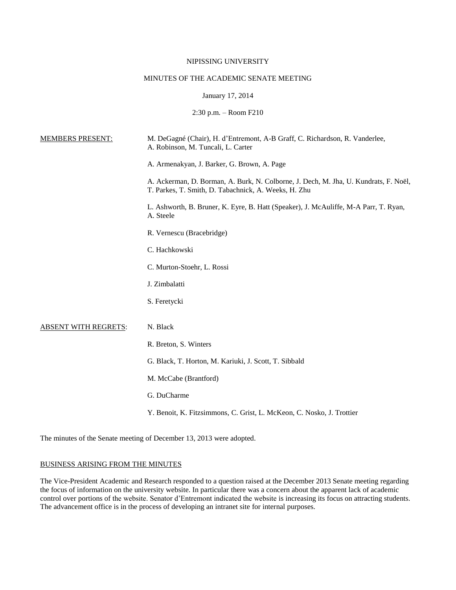## NIPISSING UNIVERSITY

# MINUTES OF THE ACADEMIC SENATE MEETING

### January 17, 2014

2:30 p.m. – Room F210

| <b>MEMBERS PRESENT:</b>     | M. DeGagné (Chair), H. d'Entremont, A-B Graff, C. Richardson, R. Vanderlee,<br>A. Robinson, M. Tuncali, L. Carter                            |
|-----------------------------|----------------------------------------------------------------------------------------------------------------------------------------------|
|                             | A. Armenakyan, J. Barker, G. Brown, A. Page                                                                                                  |
|                             | A. Ackerman, D. Borman, A. Burk, N. Colborne, J. Dech, M. Jha, U. Kundrats, F. Noël,<br>T. Parkes, T. Smith, D. Tabachnick, A. Weeks, H. Zhu |
|                             | L. Ashworth, B. Bruner, K. Eyre, B. Hatt (Speaker), J. McAuliffe, M-A Parr, T. Ryan,<br>A. Steele                                            |
|                             | R. Vernescu (Bracebridge)                                                                                                                    |
|                             | C. Hachkowski                                                                                                                                |
|                             | C. Murton-Stoehr, L. Rossi                                                                                                                   |
|                             | J. Zimbalatti                                                                                                                                |
|                             | S. Feretycki                                                                                                                                 |
| <b>ABSENT WITH REGRETS:</b> | N. Black                                                                                                                                     |
|                             | R. Breton, S. Winters                                                                                                                        |
|                             | G. Black, T. Horton, M. Kariuki, J. Scott, T. Sibbald                                                                                        |
|                             | M. McCabe (Brantford)                                                                                                                        |
|                             | G. DuCharme                                                                                                                                  |
|                             | Y. Benoit, K. Fitzsimmons, C. Grist, L. McKeon, C. Nosko, J. Trottier                                                                        |
|                             |                                                                                                                                              |

The minutes of the Senate meeting of December 13, 2013 were adopted.

## BUSINESS ARISING FROM THE MINUTES

The Vice-President Academic and Research responded to a question raised at the December 2013 Senate meeting regarding the focus of information on the university website. In particular there was a concern about the apparent lack of academic control over portions of the website. Senator d'Entremont indicated the website is increasing its focus on attracting students. The advancement office is in the process of developing an intranet site for internal purposes.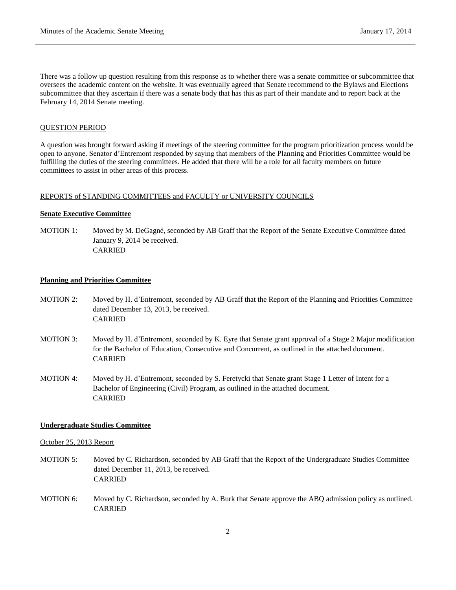There was a follow up question resulting from this response as to whether there was a senate committee or subcommittee that oversees the academic content on the website. It was eventually agreed that Senate recommend to the Bylaws and Elections subcommittee that they ascertain if there was a senate body that has this as part of their mandate and to report back at the February 14, 2014 Senate meeting.

### QUESTION PERIOD

A question was brought forward asking if meetings of the steering committee for the program prioritization process would be open to anyone. Senator d'Entremont responded by saying that members of the Planning and Priorities Committee would be fulfilling the duties of the steering committees. He added that there will be a role for all faculty members on future committees to assist in other areas of this process.

## REPORTS of STANDING COMMITTEES and FACULTY or UNIVERSITY COUNCILS

#### **Senate Executive Committee**

MOTION 1: Moved by M. DeGagné, seconded by AB Graff that the Report of the Senate Executive Committee dated January 9, 2014 be received. CARRIED

#### **Planning and Priorities Committee**

- MOTION 2: Moved by H. d'Entremont, seconded by AB Graff that the Report of the Planning and Priorities Committee dated December 13, 2013, be received. CARRIED
- MOTION 3: Moved by H. d'Entremont, seconded by K. Eyre that Senate grant approval of a Stage 2 Major modification for the Bachelor of Education, Consecutive and Concurrent, as outlined in the attached document. **CARRIED**
- MOTION 4: Moved by H. d'Entremont, seconded by S. Feretycki that Senate grant Stage 1 Letter of Intent for a Bachelor of Engineering (Civil) Program, as outlined in the attached document. CARRIED

#### **Undergraduate Studies Committee**

#### October 25, 2013 Report

- MOTION 5: Moved by C. Richardson, seconded by AB Graff that the Report of the Undergraduate Studies Committee dated December 11, 2013, be received. CARRIED
- MOTION 6: Moved by C. Richardson, seconded by A. Burk that Senate approve the ABQ admission policy as outlined. CARRIED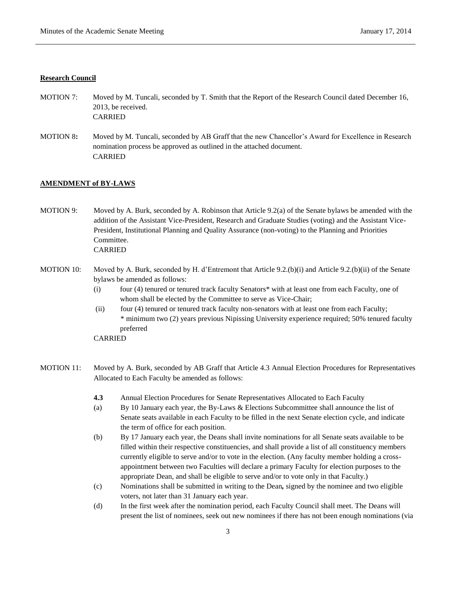#### **Research Council**

- MOTION 7: Moved by M. Tuncali, seconded by T. Smith that the Report of the Research Council dated December 16, 2013, be received. CARRIED
- MOTION 8**:** Moved by M. Tuncali, seconded by AB Graff that the new Chancellor's Award for Excellence in Research nomination process be approved as outlined in the attached document. CARRIED

## **AMENDMENT of BY-LAWS**

MOTION 9: Moved by A. Burk, seconded by A. Robinson that Article 9.2(a) of the Senate bylaws be amended with the addition of the Assistant Vice-President, Research and Graduate Studies (voting) and the Assistant Vice-President, Institutional Planning and Quality Assurance (non-voting) to the Planning and Priorities Committee. CARRIED

- MOTION 10: Moved by A. Burk, seconded by H. d'Entremont that Article 9.2.(b)(i) and Article 9.2.(b)(ii) of the Senate bylaws be amended as follows:
	- (i) four (4) tenured or tenured track faculty Senators\* with at least one from each Faculty, one of whom shall be elected by the Committee to serve as Vice-Chair;
	- (ii) four (4) tenured or tenured track faculty non-senators with at least one from each Faculty; \* minimum two (2) years previous Nipissing University experience required; 50% tenured faculty preferred

CARRIED

- MOTION 11: Moved by A. Burk, seconded by AB Graff that Article 4.3 Annual Election Procedures for Representatives Allocated to Each Faculty be amended as follows:
	- **4.3** Annual Election Procedures for Senate Representatives Allocated to Each Faculty
	- (a) By 10 January each year, the By-Laws & Elections Subcommittee shall announce the list of Senate seats available in each Faculty to be filled in the next Senate election cycle, and indicate the term of office for each position.
	- (b) By 17 January each year, the Deans shall invite nominations for all Senate seats available to be filled within their respective constituencies, and shall provide a list of all constituency members currently eligible to serve and/or to vote in the election. (Any faculty member holding a crossappointment between two Faculties will declare a primary Faculty for election purposes to the appropriate Dean, and shall be eligible to serve and/or to vote only in that Faculty.)
	- (c) Nominations shall be submitted in writing to the Dean*,* signed by the nominee and two eligible voters, not later than 31 January each year.
	- (d) In the first week after the nomination period, each Faculty Council shall meet. The Deans will present the list of nominees, seek out new nominees if there has not been enough nominations (via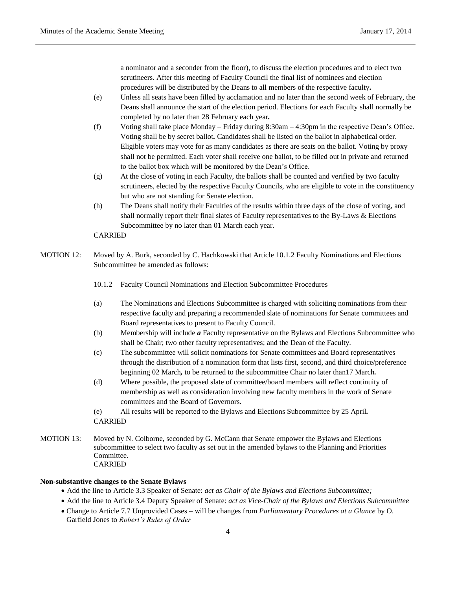a nominator and a seconder from the floor), to discuss the election procedures and to elect two scrutineers. After this meeting of Faculty Council the final list of nominees and election procedures will be distributed by the Deans to all members of the respective faculty*.* 

- (e) Unless all seats have been filled by acclamation and no later than the second week of February, the Deans shall announce the start of the election period. Elections for each Faculty shall normally be completed by no later than 28 February each year*.*
- (f) Voting shall take place Monday Friday during 8:30am 4:30pm in the respective Dean's Office. Voting shall be by secret ballot*.* Candidates shall be listed on the ballot in alphabetical order. Eligible voters may vote for as many candidates as there are seats on the ballot. Voting by proxy shall not be permitted. Each voter shall receive one ballot, to be filled out in private and returned to the ballot box which will be monitored by the Dean's Office.
- (g) At the close of voting in each Faculty, the ballots shall be counted and verified by two faculty scrutineers, elected by the respective Faculty Councils, who are eligible to vote in the constituency but who are not standing for Senate election.
- (h) The Deans shall notify their Faculties of the results within three days of the close of voting, and shall normally report their final slates of Faculty representatives to the By-Laws & Elections Subcommittee by no later than 01 March each year.

### CARRIED

- MOTION 12: Moved by A. Burk, seconded by C. Hachkowski that Article 10.1.2 Faculty Nominations and Elections Subcommittee be amended as follows:
	- 10.1.2 Faculty Council Nominations and Election Subcommittee Procedures
	- (a) The Nominations and Elections Subcommittee is charged with soliciting nominations from their respective faculty and preparing a recommended slate of nominations for Senate committees and Board representatives to present to Faculty Council.
	- (b) Membership will include *a* Faculty representative on the Bylaws and Elections Subcommittee who shall be Chair; two other faculty representatives; and the Dean of the Faculty.
	- (c) The subcommittee will solicit nominations for Senate committees and Board representatives through the distribution of a nomination form that lists first, second, and third choice/preference beginning 02 March*,* to be returned to the subcommittee Chair no later than17 March*.*
	- (d) Where possible, the proposed slate of committee/board members will reflect continuity of membership as well as consideration involving new faculty members in the work of Senate committees and the Board of Governors.

(e) All results will be reported to the Bylaws and Elections Subcommittee by 25 April*.* CARRIED

MOTION 13: Moved by N. Colborne, seconded by G. McCann that Senate empower the Bylaws and Elections subcommittee to select two faculty as set out in the amended bylaws to the Planning and Priorities Committee. CARRIED

#### **Non-substantive changes to the Senate Bylaws**

- Add the line to Article 3.3 Speaker of Senate: *act as Chair of the Bylaws and Elections Subcommittee;*
- Add the line to Article 3.4 Deputy Speaker of Senate: *act as Vice-Chair of the Bylaws and Elections Subcommittee*
- Change to Article 7.7 Unprovided Cases will be changes from *Parliamentary Procedures at a Glance* by O. Garfield Jones to *Robert's Rules of Order*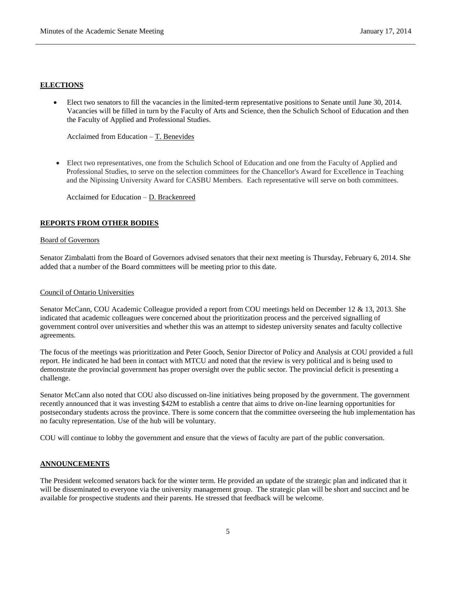## **ELECTIONS**

 Elect two senators to fill the vacancies in the limited-term representative positions to Senate until June 30, 2014. Vacancies will be filled in turn by the Faculty of Arts and Science, then the Schulich School of Education and then the Faculty of Applied and Professional Studies.

Acclaimed from Education – T. Benevides

 Elect two representatives, one from the Schulich School of Education and one from the Faculty of Applied and Professional Studies, to serve on the selection committees for the Chancellor's Award for Excellence in Teaching and the Nipissing University Award for CASBU Members. Each representative will serve on both committees.

Acclaimed for Education – D. Brackenreed

## **REPORTS FROM OTHER BODIES**

#### Board of Governors

Senator Zimbalatti from the Board of Governors advised senators that their next meeting is Thursday, February 6, 2014. She added that a number of the Board committees will be meeting prior to this date.

## Council of Ontario Universities

Senator McCann, COU Academic Colleague provided a report from COU meetings held on December 12 & 13, 2013. She indicated that academic colleagues were concerned about the prioritization process and the perceived signalling of government control over universities and whether this was an attempt to sidestep university senates and faculty collective agreements.

The focus of the meetings was prioritization and Peter Gooch, Senior Director of Policy and Analysis at COU provided a full report. He indicated he had been in contact with MTCU and noted that the review is very political and is being used to demonstrate the provincial government has proper oversight over the public sector. The provincial deficit is presenting a challenge.

Senator McCann also noted that COU also discussed on-line initiatives being proposed by the government. The government recently announced that it was investing \$42M to establish a centre that aims to drive on-line learning opportunities for postsecondary students across the province. There is some concern that the committee overseeing the hub implementation has no faculty representation. Use of the hub will be voluntary.

COU will continue to lobby the government and ensure that the views of faculty are part of the public conversation.

## **ANNOUNCEMENTS**

The President welcomed senators back for the winter term. He provided an update of the strategic plan and indicated that it will be disseminated to everyone via the university management group. The strategic plan will be short and succinct and be available for prospective students and their parents. He stressed that feedback will be welcome.